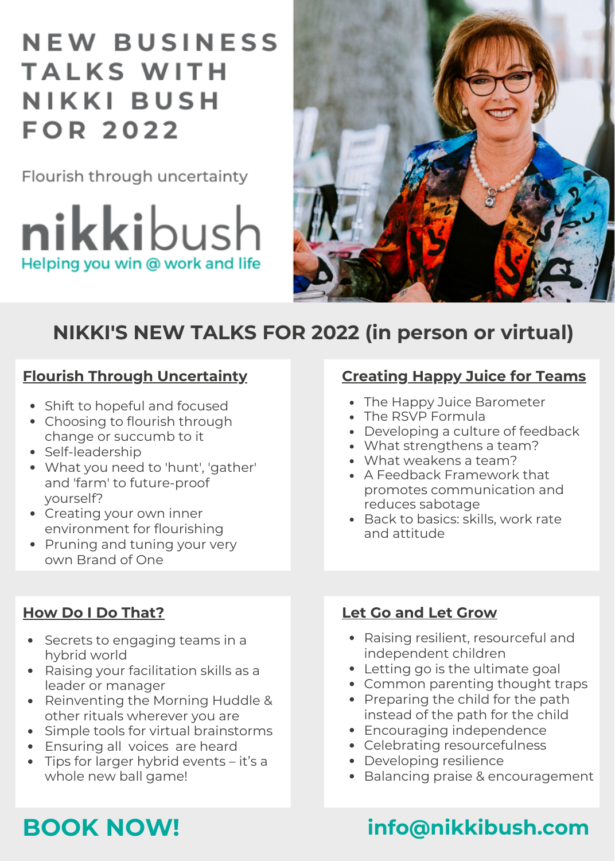## **NEW BUSINESS TALKS WITH NIKKI BUSH FOR 2022**

Flourish through uncertainty

 $\boldsymbol{\mathsf{nikk}}$ ibush Helping you win @ work and life



## **NIKKI'S NEW TALKS FOR 2022 (in person or virtual)**

#### **Flourish Through [Uncertainty](https://nikkibush.com/talks/flourish-through-uncertainty/)**

- Shift to hopeful and focused
- Choosing to flourish through change or succumb to it
- Self-leadership
- What you need to 'hunt', 'gather' and 'farm' to future-proof yourself?
- Creating your own inner environment for flourishing
- Pruning and tuning your very own Brand of One

### **How Do I Do [That?](https://nikkibush.com/how-do-i-do-that-2/)**

- Secrets to engaging teams in a hybrid world
- Raising your facilitation skills as a leader or manager
- Reinventing the Morning Huddle & other rituals wherever you are
- Simple tools for virtual brainstorms
- Ensuring all voices are heard
- Tips for larger hybrid events it's a whole new ball game!

### **[Creating](https://nikkibush.com/creating-happy-juice-for-teams/) Happy Juice for Teams**

- The Happy Juice Barometer
- The RSVP Formula
- Developing a culture of feedback
- What strengthens a team?
- What weakens a team?
- A Feedback Framework that promotes communication and reduces sabotage
- Back to basics: skills, work rate and attitude

### **Let Go and Let [Grow](https://nikkibush.com/let-go-let-grow/)**

- Raising resilient, resourceful and independent children
- Letting go is the ultimate goal
- Common parenting thought traps
- Preparing the child for the path instead of the path for the child
- Encouraging independence
- Celebrating resourcefulness
- Developing resilience
- Balancing praise & encouragement

## **BOOK NOW! info@nikkibush.com**